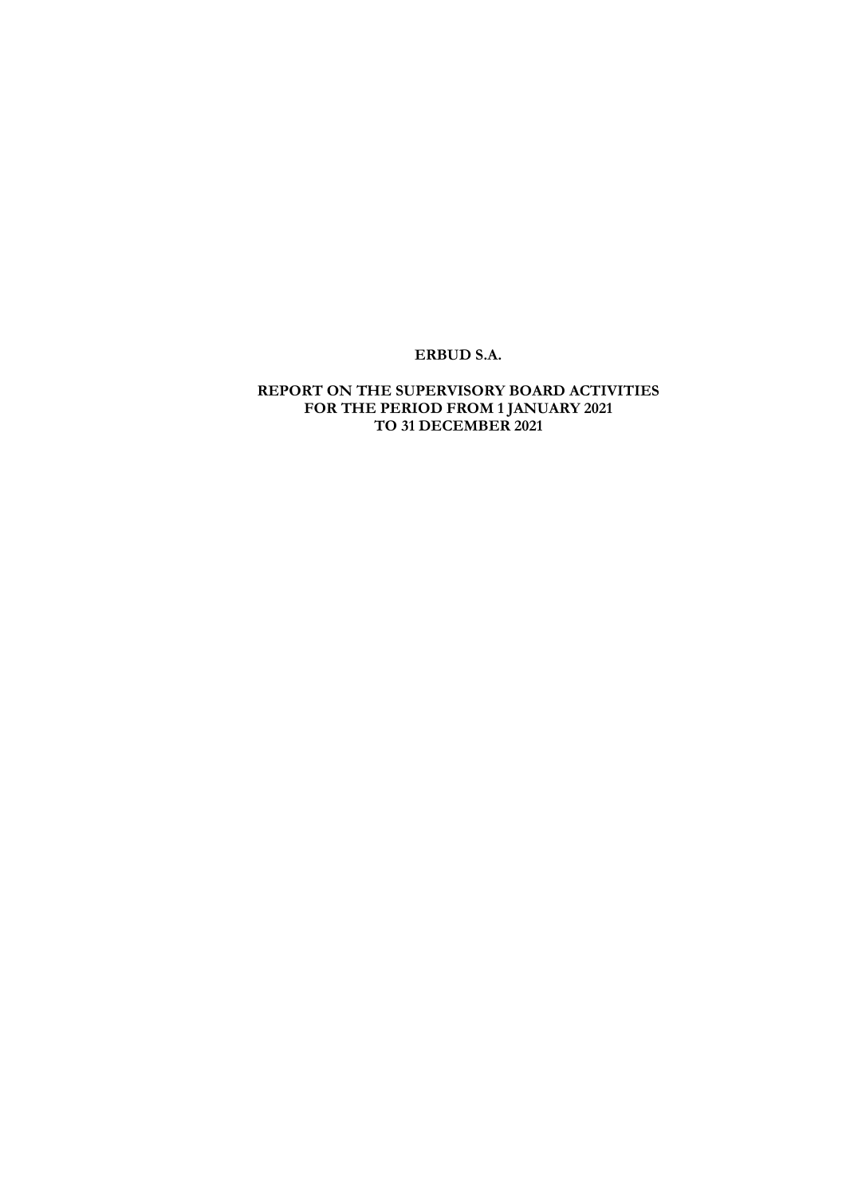# ERBUD S.A.

### REPORT ON THE SUPERVISORY BOARD ACTIVITIES FOR THE PERIOD FROM 1 JANUARY 2021 TO 31 DECEMBER 2021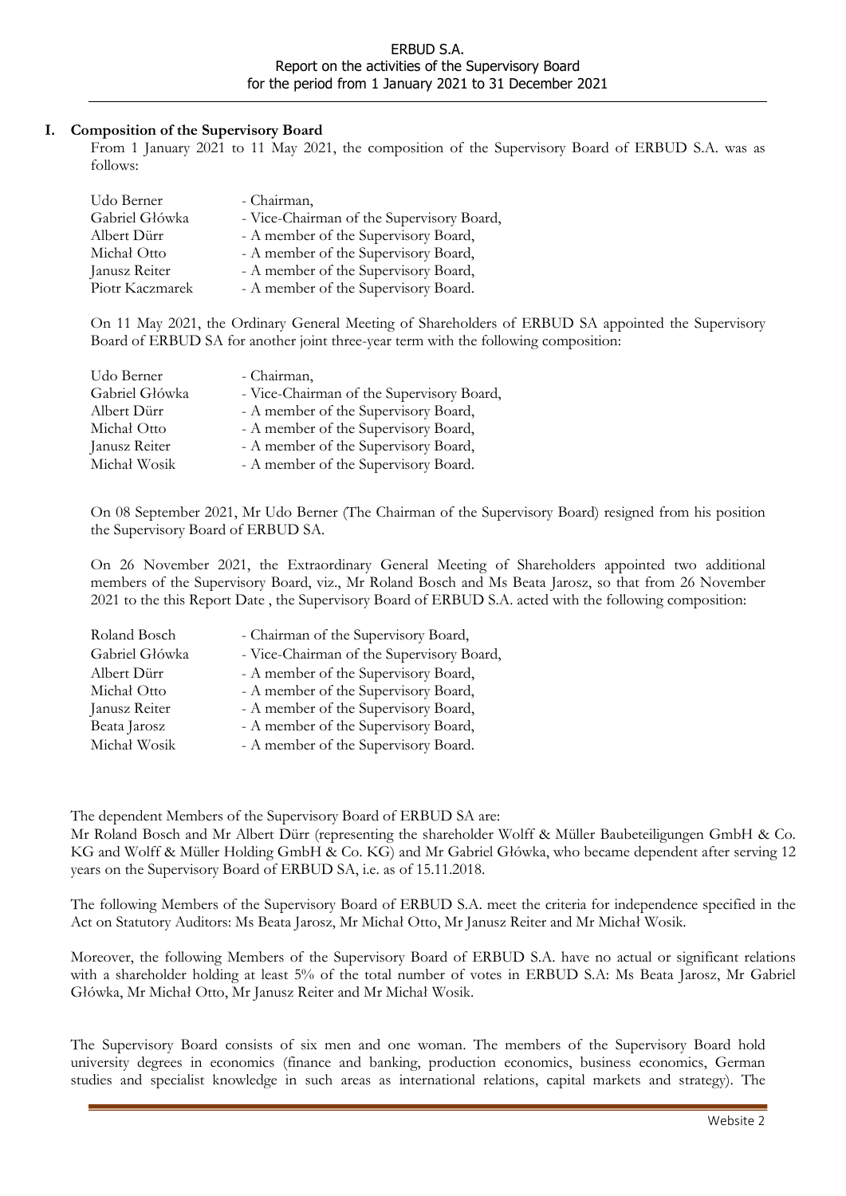### I. Composition of the Supervisory Board

From 1 January 2021 to 11 May 2021, the composition of the Supervisory Board of ERBUD S.A. was as follows:

| Udo Berner      | - Chairman,                               |
|-----------------|-------------------------------------------|
| Gabriel Główka  | - Vice-Chairman of the Supervisory Board, |
| Albert Dürr     | - A member of the Supervisory Board,      |
| Michal Otto     | - A member of the Supervisory Board,      |
| Janusz Reiter   | - A member of the Supervisory Board,      |
| Piotr Kaczmarek | - A member of the Supervisory Board.      |

On 11 May 2021, the Ordinary General Meeting of Shareholders of ERBUD SA appointed the Supervisory Board of ERBUD SA for another joint three-year term with the following composition:

| Udo Berner     | - Chairman,                               |
|----------------|-------------------------------------------|
| Gabriel Główka | - Vice-Chairman of the Supervisory Board, |
| Albert Dürr    | - A member of the Supervisory Board,      |
| Michal Otto    | - A member of the Supervisory Board,      |
| Janusz Reiter  | - A member of the Supervisory Board,      |
| Michał Wosik   | - A member of the Supervisory Board.      |

On 08 September 2021, Mr Udo Berner (The Chairman of the Supervisory Board) resigned from his position the Supervisory Board of ERBUD SA.

On 26 November 2021, the Extraordinary General Meeting of Shareholders appointed two additional members of the Supervisory Board, viz., Mr Roland Bosch and Ms Beata Jarosz, so that from 26 November 2021 to the this Report Date , the Supervisory Board of ERBUD S.A. acted with the following composition:

| Roland Bosch   | - Chairman of the Supervisory Board,      |
|----------------|-------------------------------------------|
| Gabriel Główka | - Vice-Chairman of the Supervisory Board, |
| Albert Dürr    | - A member of the Supervisory Board,      |
| Michał Otto    | - A member of the Supervisory Board,      |
| Janusz Reiter  | - A member of the Supervisory Board,      |
| Beata Jarosz   | - A member of the Supervisory Board,      |
| Michał Wosik   | - A member of the Supervisory Board.      |

The dependent Members of the Supervisory Board of ERBUD SA are:

Mr Roland Bosch and Mr Albert Dürr (representing the shareholder Wolff & Müller Baubeteiligungen GmbH & Co. KG and Wolff & Müller Holding GmbH & Co. KG) and Mr Gabriel Główka, who became dependent after serving 12 years on the Supervisory Board of ERBUD SA, i.e. as of 15.11.2018.

The following Members of the Supervisory Board of ERBUD S.A. meet the criteria for independence specified in the Act on Statutory Auditors: Ms Beata Jarosz, Mr Michał Otto, Mr Janusz Reiter and Mr Michał Wosik.

Moreover, the following Members of the Supervisory Board of ERBUD S.A. have no actual or significant relations with a shareholder holding at least 5% of the total number of votes in ERBUD S.A: Ms Beata Jarosz, Mr Gabriel Główka, Mr Michał Otto, Mr Janusz Reiter and Mr Michał Wosik.

The Supervisory Board consists of six men and one woman. The members of the Supervisory Board hold university degrees in economics (finance and banking, production economics, business economics, German studies and specialist knowledge in such areas as international relations, capital markets and strategy). The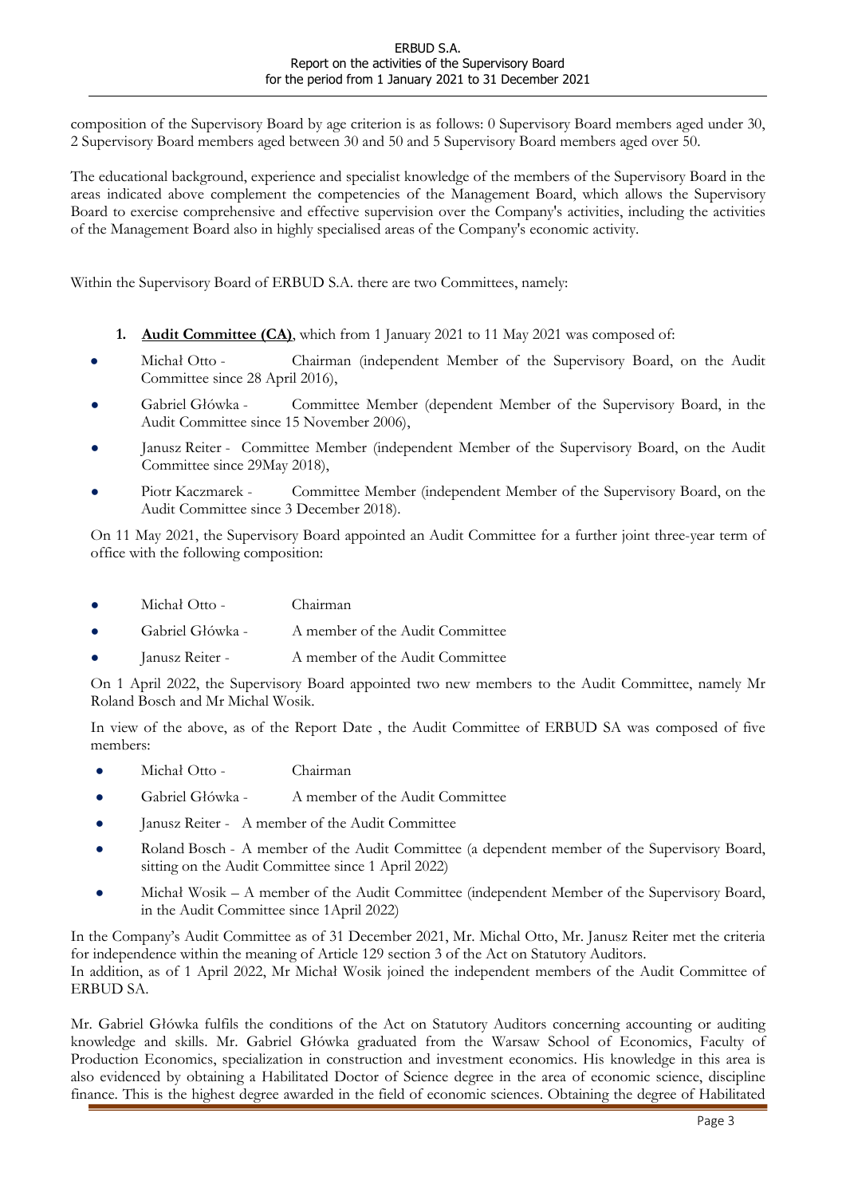composition of the Supervisory Board by age criterion is as follows: 0 Supervisory Board members aged under 30, 2 Supervisory Board members aged between 30 and 50 and 5 Supervisory Board members aged over 50.

The educational background, experience and specialist knowledge of the members of the Supervisory Board in the areas indicated above complement the competencies of the Management Board, which allows the Supervisory Board to exercise comprehensive and effective supervision over the Company's activities, including the activities of the Management Board also in highly specialised areas of the Company's economic activity.

Within the Supervisory Board of ERBUD S.A. there are two Committees, namely:

- 1. Audit Committee (CA), which from 1 January 2021 to 11 May 2021 was composed of:
- Michał Otto Chairman (independent Member of the Supervisory Board, on the Audit Committee since 28 April 2016),
- Gabriel Główka Committee Member (dependent Member of the Supervisory Board, in the Audit Committee since 15 November 2006),
- Janusz Reiter Committee Member (independent Member of the Supervisory Board, on the Audit Committee since 29May 2018),
- Piotr Kaczmarek Committee Member (independent Member of the Supervisory Board, on the Audit Committee since 3 December 2018).

On 11 May 2021, the Supervisory Board appointed an Audit Committee for a further joint three-year term of office with the following composition:

- Michał Otto Chairman
- Gabriel Główka A member of the Audit Committee
- Janusz Reiter A member of the Audit Committee

On 1 April 2022, the Supervisory Board appointed two new members to the Audit Committee, namely Mr Roland Bosch and Mr Michal Wosik.

In view of the above, as of the Report Date , the Audit Committee of ERBUD SA was composed of five members:

- Michał Otto Chairman
- Gabriel Główka A member of the Audit Committee
- Janusz Reiter A member of the Audit Committee
- Roland Bosch A member of the Audit Committee (a dependent member of the Supervisory Board, sitting on the Audit Committee since 1 April 2022)
- Michał Wosik A member of the Audit Committee (independent Member of the Supervisory Board, in the Audit Committee since 1April 2022)

In the Company's Audit Committee as of 31 December 2021, Mr. Michal Otto, Mr. Janusz Reiter met the criteria for independence within the meaning of Article 129 section 3 of the Act on Statutory Auditors. In addition, as of 1 April 2022, Mr Michał Wosik joined the independent members of the Audit Committee of ERBUD SA.

Mr. Gabriel Główka fulfils the conditions of the Act on Statutory Auditors concerning accounting or auditing knowledge and skills. Mr. Gabriel Główka graduated from the Warsaw School of Economics, Faculty of Production Economics, specialization in construction and investment economics. His knowledge in this area is also evidenced by obtaining a Habilitated Doctor of Science degree in the area of economic science, discipline finance. This is the highest degree awarded in the field of economic sciences. Obtaining the degree of Habilitated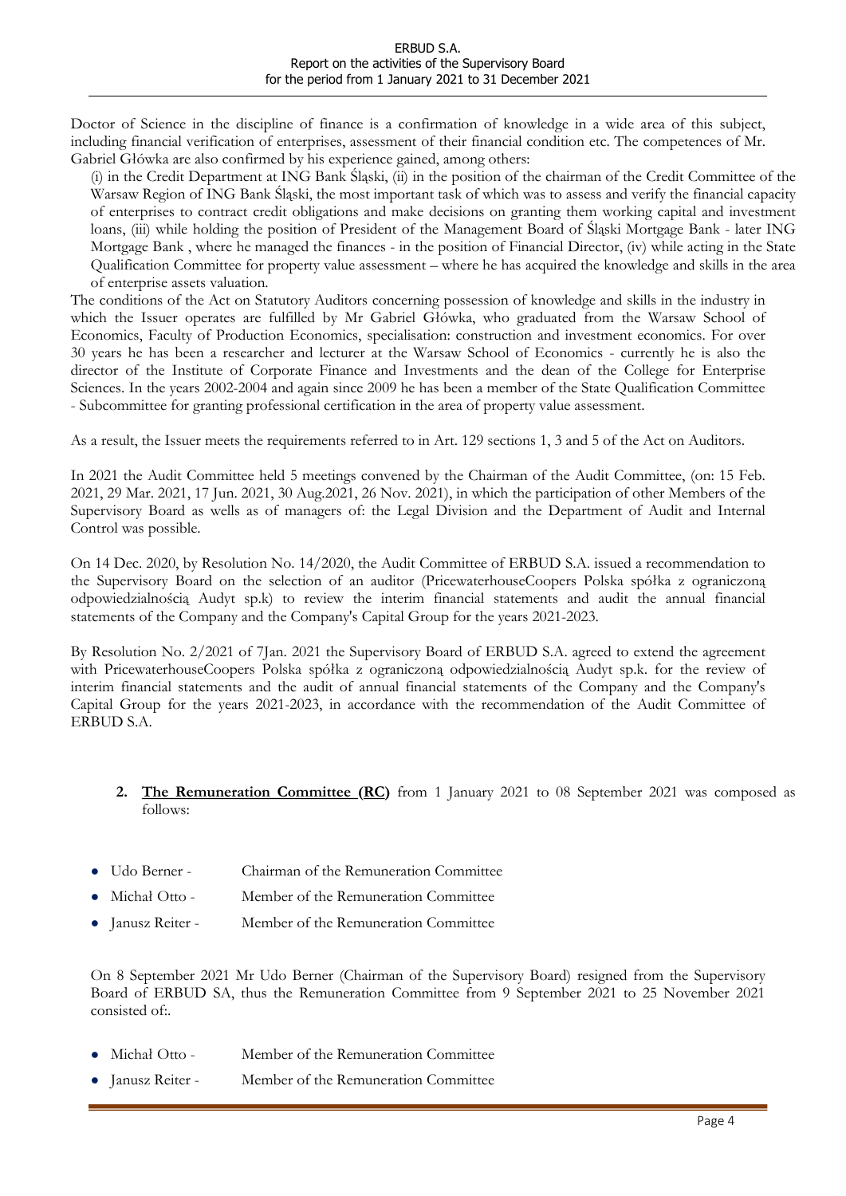Doctor of Science in the discipline of finance is a confirmation of knowledge in a wide area of this subject, including financial verification of enterprises, assessment of their financial condition etc. The competences of Mr. Gabriel Główka are also confirmed by his experience gained, among others:

(i) in the Credit Department at ING Bank Śląski, (ii) in the position of the chairman of the Credit Committee of the Warsaw Region of ING Bank Śląski, the most important task of which was to assess and verify the financial capacity of enterprises to contract credit obligations and make decisions on granting them working capital and investment loans, (iii) while holding the position of President of the Management Board of Śląski Mortgage Bank - later ING Mortgage Bank , where he managed the finances - in the position of Financial Director, (iv) while acting in the State Qualification Committee for property value assessment – where he has acquired the knowledge and skills in the area of enterprise assets valuation.

The conditions of the Act on Statutory Auditors concerning possession of knowledge and skills in the industry in which the Issuer operates are fulfilled by Mr Gabriel Główka, who graduated from the Warsaw School of Economics, Faculty of Production Economics, specialisation: construction and investment economics. For over 30 years he has been a researcher and lecturer at the Warsaw School of Economics - currently he is also the director of the Institute of Corporate Finance and Investments and the dean of the College for Enterprise Sciences. In the years 2002-2004 and again since 2009 he has been a member of the State Qualification Committee - Subcommittee for granting professional certification in the area of property value assessment.

As a result, the Issuer meets the requirements referred to in Art. 129 sections 1, 3 and 5 of the Act on Auditors.

In 2021 the Audit Committee held 5 meetings convened by the Chairman of the Audit Committee, (on: 15 Feb. 2021, 29 Mar. 2021, 17 Jun. 2021, 30 Aug.2021, 26 Nov. 2021), in which the participation of other Members of the Supervisory Board as wells as of managers of: the Legal Division and the Department of Audit and Internal Control was possible.

On 14 Dec. 2020, by Resolution No. 14/2020, the Audit Committee of ERBUD S.A. issued a recommendation to the Supervisory Board on the selection of an auditor (PricewaterhouseCoopers Polska spółka z ograniczoną odpowiedzialnością Audyt sp.k) to review the interim financial statements and audit the annual financial statements of the Company and the Company's Capital Group for the years 2021-2023.

By Resolution No. 2/2021 of 7Jan. 2021 the Supervisory Board of ERBUD S.A. agreed to extend the agreement with PricewaterhouseCoopers Polska spółka z ograniczoną odpowiedzialnością Audyt sp.k. for the review of interim financial statements and the audit of annual financial statements of the Company and the Company's Capital Group for the years 2021-2023, in accordance with the recommendation of the Audit Committee of ERBUD S.A.

### 2. The Remuneration Committee (RC) from 1 January 2021 to 08 September 2021 was composed as follows:

- Udo Berner Chairman of the Remuneration Committee
- Michał Otto Member of the Remuneration Committee
- Janusz Reiter Member of the Remuneration Committee

On 8 September 2021 Mr Udo Berner (Chairman of the Supervisory Board) resigned from the Supervisory Board of ERBUD SA, thus the Remuneration Committee from 9 September 2021 to 25 November 2021 consisted of:.

- Michał Otto Member of the Remuneration Committee
- Janusz Reiter Member of the Remuneration Committee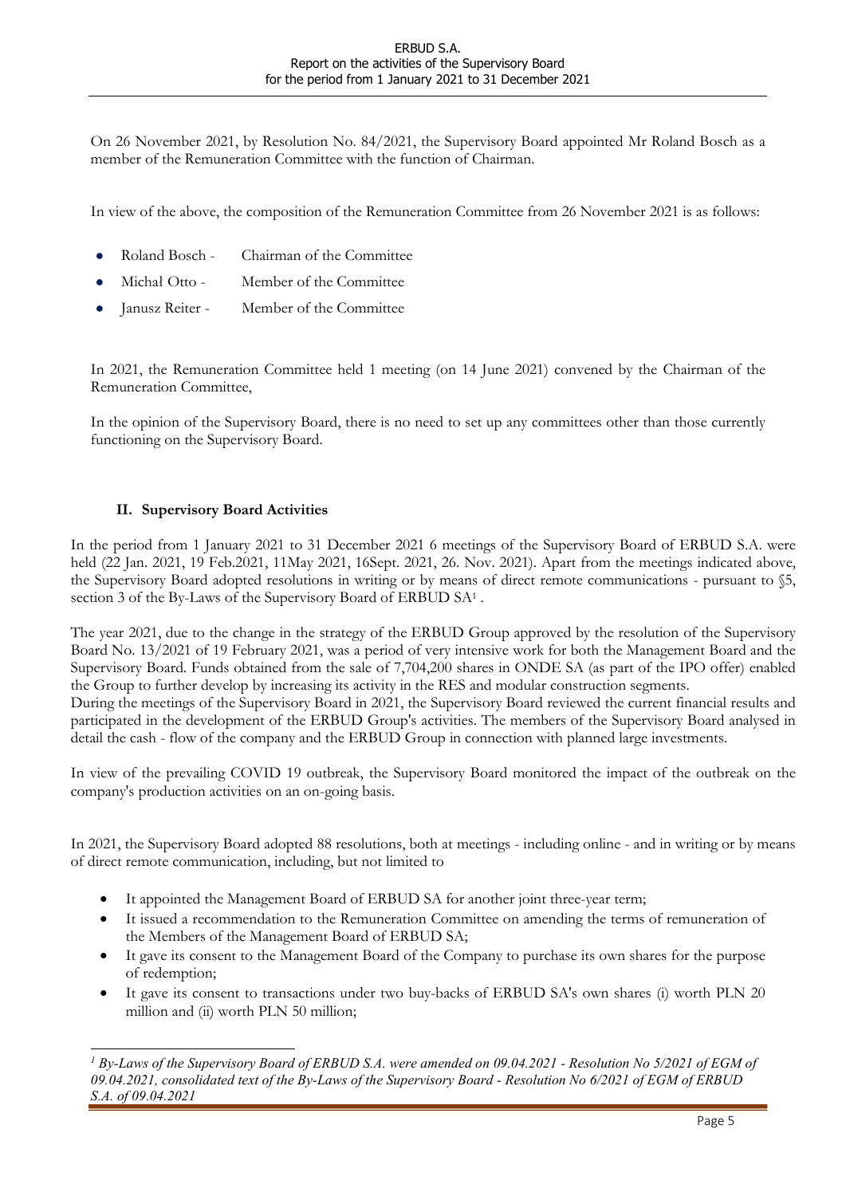On 26 November 2021, by Resolution No. 84/2021, the Supervisory Board appointed Mr Roland Bosch as a member of the Remuneration Committee with the function of Chairman.

In view of the above, the composition of the Remuneration Committee from 26 November 2021 is as follows:

- Roland Bosch Chairman of the Committee
- Michał Otto Member of the Committee
- Janusz Reiter Member of the Committee

In 2021, the Remuneration Committee held 1 meeting (on 14 June 2021) convened by the Chairman of the Remuneration Committee,

In the opinion of the Supervisory Board, there is no need to set up any committees other than those currently functioning on the Supervisory Board.

### II. Supervisory Board Activities

In the period from 1 January 2021 to 31 December 2021 6 meetings of the Supervisory Board of ERBUD S.A. were held (22 Jan. 2021, 19 Feb.2021, 11May 2021, 16Sept. 2021, 26. Nov. 2021). Apart from the meetings indicated above, the Supervisory Board adopted resolutions in writing or by means of direct remote communications - pursuant to §5, section 3 of the By-Laws of the Supervisory Board of ERBUD SA<sup>1</sup>.

The year 2021, due to the change in the strategy of the ERBUD Group approved by the resolution of the Supervisory Board No. 13/2021 of 19 February 2021, was a period of very intensive work for both the Management Board and the Supervisory Board. Funds obtained from the sale of 7,704,200 shares in ONDE SA (as part of the IPO offer) enabled the Group to further develop by increasing its activity in the RES and modular construction segments. During the meetings of the Supervisory Board in 2021, the Supervisory Board reviewed the current financial results and participated in the development of the ERBUD Group's activities. The members of the Supervisory Board analysed in detail the cash - flow of the company and the ERBUD Group in connection with planned large investments.

In view of the prevailing COVID 19 outbreak, the Supervisory Board monitored the impact of the outbreak on the company's production activities on an on-going basis.

In 2021, the Supervisory Board adopted 88 resolutions, both at meetings - including online - and in writing or by means of direct remote communication, including, but not limited to

- It appointed the Management Board of ERBUD SA for another joint three-year term;
- It issued a recommendation to the Remuneration Committee on amending the terms of remuneration of the Members of the Management Board of ERBUD SA;
- It gave its consent to the Management Board of the Company to purchase its own shares for the purpose of redemption;
- It gave its consent to transactions under two buy-backs of ERBUD SA's own shares (i) worth PLN 20 million and (ii) worth PLN 50 million;

<sup>&</sup>lt;sup>1</sup> By-Laws of the Supervisory Board of ERBUD S.A. were amended on 09.04.2021 - Resolution No 5/2021 of EGM of 09.04.2021, consolidated text of the By-Laws of the Supervisory Board - Resolution No 6/2021 of EGM of ERBUD S.A. of 09.04.2021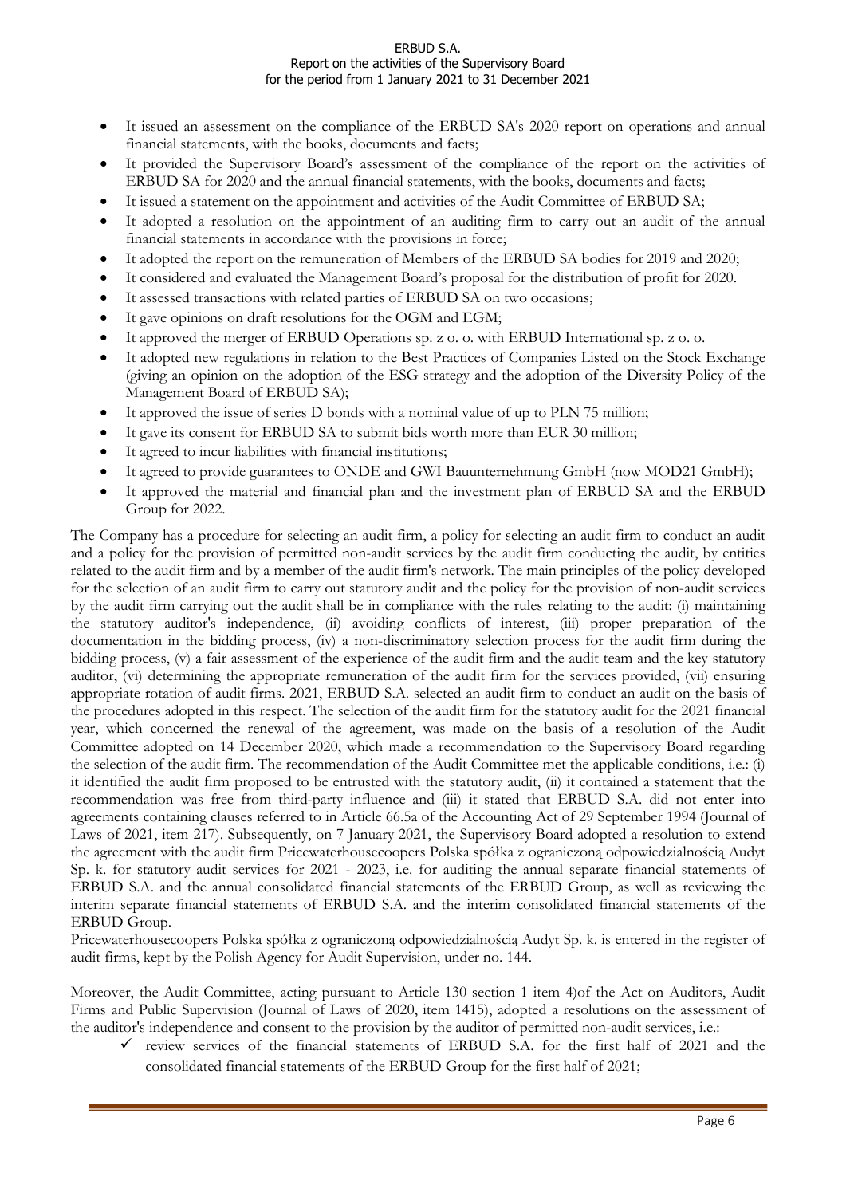- It issued an assessment on the compliance of the ERBUD SA's 2020 report on operations and annual financial statements, with the books, documents and facts;
- It provided the Supervisory Board's assessment of the compliance of the report on the activities of ERBUD SA for 2020 and the annual financial statements, with the books, documents and facts;
- It issued a statement on the appointment and activities of the Audit Committee of ERBUD SA;
- It adopted a resolution on the appointment of an auditing firm to carry out an audit of the annual financial statements in accordance with the provisions in force;
- It adopted the report on the remuneration of Members of the ERBUD SA bodies for 2019 and 2020;
- It considered and evaluated the Management Board's proposal for the distribution of profit for 2020.
- It assessed transactions with related parties of ERBUD SA on two occasions;
- It gave opinions on draft resolutions for the OGM and EGM;
- It approved the merger of ERBUD Operations sp. z o. o. with ERBUD International sp. z o. o.
- It adopted new regulations in relation to the Best Practices of Companies Listed on the Stock Exchange (giving an opinion on the adoption of the ESG strategy and the adoption of the Diversity Policy of the Management Board of ERBUD SA);
- It approved the issue of series D bonds with a nominal value of up to PLN 75 million;
- It gave its consent for ERBUD SA to submit bids worth more than EUR 30 million;
- It agreed to incur liabilities with financial institutions;
- It agreed to provide guarantees to ONDE and GWI Bauunternehmung GmbH (now MOD21 GmbH);
- It approved the material and financial plan and the investment plan of ERBUD SA and the ERBUD Group for 2022.

The Company has a procedure for selecting an audit firm, a policy for selecting an audit firm to conduct an audit and a policy for the provision of permitted non-audit services by the audit firm conducting the audit, by entities related to the audit firm and by a member of the audit firm's network. The main principles of the policy developed for the selection of an audit firm to carry out statutory audit and the policy for the provision of non-audit services by the audit firm carrying out the audit shall be in compliance with the rules relating to the audit: (i) maintaining the statutory auditor's independence, (ii) avoiding conflicts of interest, (iii) proper preparation of the documentation in the bidding process, (iv) a non-discriminatory selection process for the audit firm during the bidding process, (v) a fair assessment of the experience of the audit firm and the audit team and the key statutory auditor, (vi) determining the appropriate remuneration of the audit firm for the services provided, (vii) ensuring appropriate rotation of audit firms. 2021, ERBUD S.A. selected an audit firm to conduct an audit on the basis of the procedures adopted in this respect. The selection of the audit firm for the statutory audit for the 2021 financial year, which concerned the renewal of the agreement, was made on the basis of a resolution of the Audit Committee adopted on 14 December 2020, which made a recommendation to the Supervisory Board regarding the selection of the audit firm. The recommendation of the Audit Committee met the applicable conditions, i.e.: (i) it identified the audit firm proposed to be entrusted with the statutory audit, (ii) it contained a statement that the recommendation was free from third-party influence and (iii) it stated that ERBUD S.A. did not enter into agreements containing clauses referred to in Article 66.5a of the Accounting Act of 29 September 1994 (Journal of Laws of 2021, item 217). Subsequently, on 7 January 2021, the Supervisory Board adopted a resolution to extend the agreement with the audit firm Pricewaterhousecoopers Polska spółka z ograniczoną odpowiedzialnością Audyt Sp. k. for statutory audit services for 2021 - 2023, i.e. for auditing the annual separate financial statements of ERBUD S.A. and the annual consolidated financial statements of the ERBUD Group, as well as reviewing the interim separate financial statements of ERBUD S.A. and the interim consolidated financial statements of the ERBUD Group.

Pricewaterhousecoopers Polska spółka z ograniczoną odpowiedzialnością Audyt Sp. k. is entered in the register of audit firms, kept by the Polish Agency for Audit Supervision, under no. 144.

Moreover, the Audit Committee, acting pursuant to Article 130 section 1 item 4)of the Act on Auditors, Audit Firms and Public Supervision (Journal of Laws of 2020, item 1415), adopted a resolutions on the assessment of the auditor's independence and consent to the provision by the auditor of permitted non-audit services, i.e.:

 $\checkmark$  review services of the financial statements of ERBUD S.A. for the first half of 2021 and the consolidated financial statements of the ERBUD Group for the first half of 2021;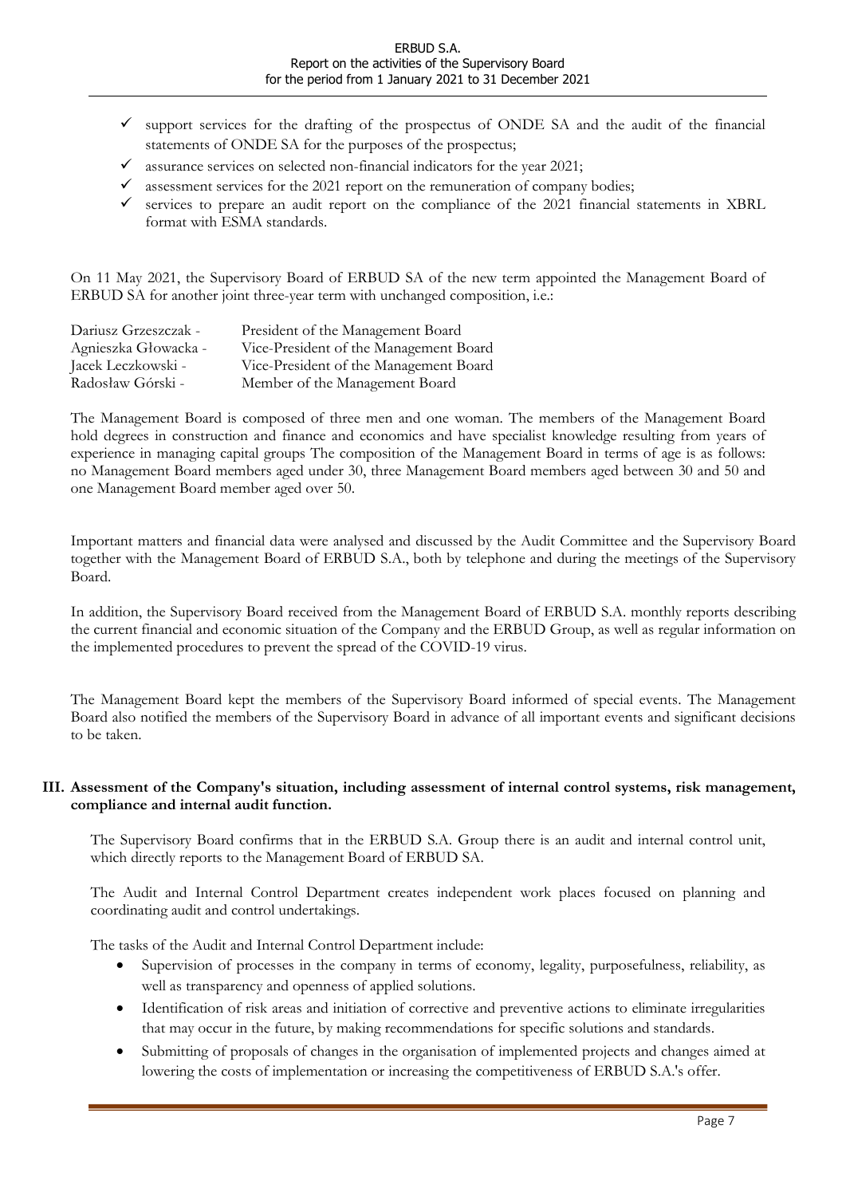- $\checkmark$  support services for the drafting of the prospectus of ONDE SA and the audit of the financial statements of ONDE SA for the purposes of the prospectus;
- assurance services on selected non-financial indicators for the year 2021;
- $\checkmark$  assessment services for the 2021 report on the remuneration of company bodies;
- services to prepare an audit report on the compliance of the 2021 financial statements in XBRL format with ESMA standards.

On 11 May 2021, the Supervisory Board of ERBUD SA of the new term appointed the Management Board of ERBUD SA for another joint three-year term with unchanged composition, i.e.:

| Dariusz Grzeszczak - | President of the Management Board      |
|----------------------|----------------------------------------|
| Agnieszka Głowacka - | Vice-President of the Management Board |
| Jacek Leczkowski -   | Vice-President of the Management Board |
| Radosław Górski -    | Member of the Management Board         |

The Management Board is composed of three men and one woman. The members of the Management Board hold degrees in construction and finance and economics and have specialist knowledge resulting from years of experience in managing capital groups The composition of the Management Board in terms of age is as follows: no Management Board members aged under 30, three Management Board members aged between 30 and 50 and one Management Board member aged over 50.

Important matters and financial data were analysed and discussed by the Audit Committee and the Supervisory Board together with the Management Board of ERBUD S.A., both by telephone and during the meetings of the Supervisory Board.

In addition, the Supervisory Board received from the Management Board of ERBUD S.A. monthly reports describing the current financial and economic situation of the Company and the ERBUD Group, as well as regular information on the implemented procedures to prevent the spread of the COVID-19 virus.

The Management Board kept the members of the Supervisory Board informed of special events. The Management Board also notified the members of the Supervisory Board in advance of all important events and significant decisions to be taken.

### III. Assessment of the Company's situation, including assessment of internal control systems, risk management, compliance and internal audit function.

The Supervisory Board confirms that in the ERBUD S.A. Group there is an audit and internal control unit, which directly reports to the Management Board of ERBUD SA.

The Audit and Internal Control Department creates independent work places focused on planning and coordinating audit and control undertakings.

The tasks of the Audit and Internal Control Department include:

- Supervision of processes in the company in terms of economy, legality, purposefulness, reliability, as well as transparency and openness of applied solutions.
- Identification of risk areas and initiation of corrective and preventive actions to eliminate irregularities that may occur in the future, by making recommendations for specific solutions and standards.
- Submitting of proposals of changes in the organisation of implemented projects and changes aimed at lowering the costs of implementation or increasing the competitiveness of ERBUD S.A.'s offer.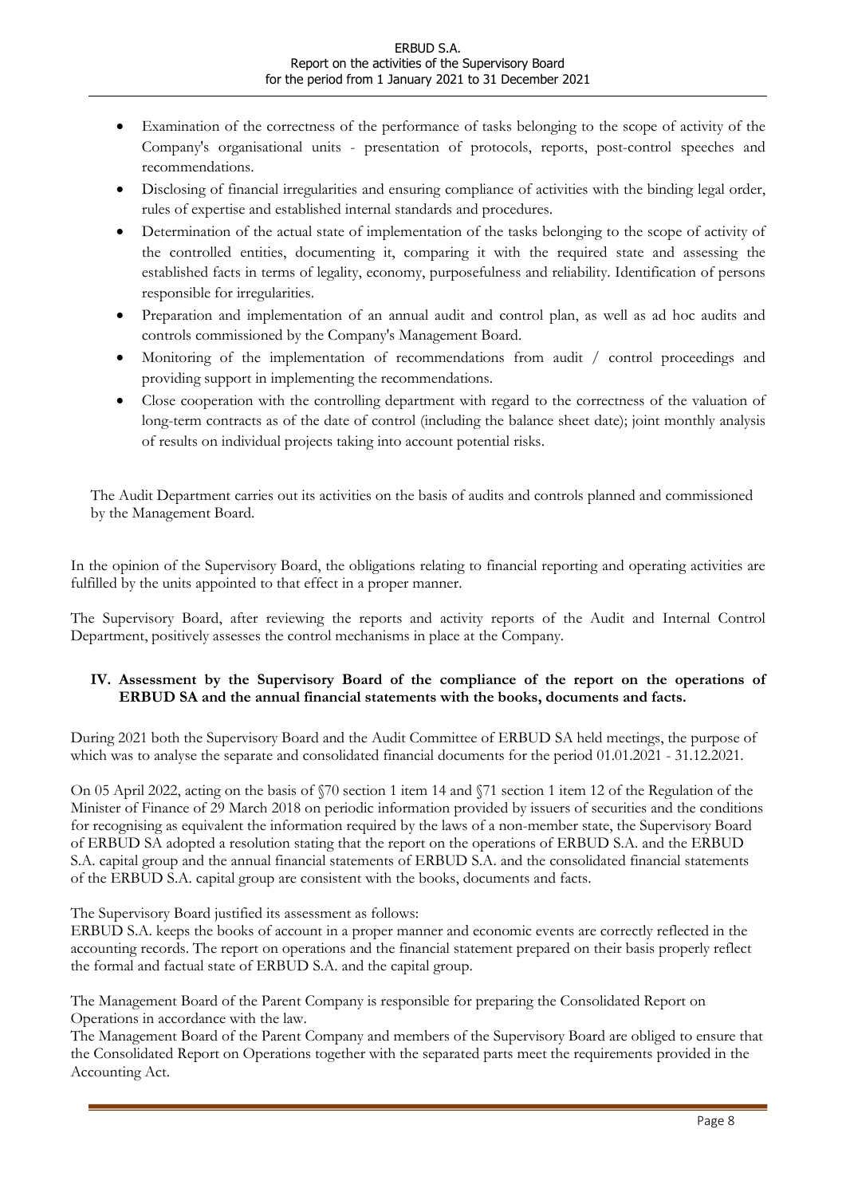- Examination of the correctness of the performance of tasks belonging to the scope of activity of the Company's organisational units - presentation of protocols, reports, post-control speeches and recommendations.
- Disclosing of financial irregularities and ensuring compliance of activities with the binding legal order, rules of expertise and established internal standards and procedures.
- Determination of the actual state of implementation of the tasks belonging to the scope of activity of the controlled entities, documenting it, comparing it with the required state and assessing the established facts in terms of legality, economy, purposefulness and reliability. Identification of persons responsible for irregularities.
- Preparation and implementation of an annual audit and control plan, as well as ad hoc audits and controls commissioned by the Company's Management Board.
- Monitoring of the implementation of recommendations from audit / control proceedings and providing support in implementing the recommendations.
- Close cooperation with the controlling department with regard to the correctness of the valuation of long-term contracts as of the date of control (including the balance sheet date); joint monthly analysis of results on individual projects taking into account potential risks.

The Audit Department carries out its activities on the basis of audits and controls planned and commissioned by the Management Board.

In the opinion of the Supervisory Board, the obligations relating to financial reporting and operating activities are fulfilled by the units appointed to that effect in a proper manner.

The Supervisory Board, after reviewing the reports and activity reports of the Audit and Internal Control Department, positively assesses the control mechanisms in place at the Company.

### IV. Assessment by the Supervisory Board of the compliance of the report on the operations of ERBUD SA and the annual financial statements with the books, documents and facts.

During 2021 both the Supervisory Board and the Audit Committee of ERBUD SA held meetings, the purpose of which was to analyse the separate and consolidated financial documents for the period 01.01.2021 - 31.12.2021.

On 05 April 2022, acting on the basis of §70 section 1 item 14 and §71 section 1 item 12 of the Regulation of the Minister of Finance of 29 March 2018 on periodic information provided by issuers of securities and the conditions for recognising as equivalent the information required by the laws of a non-member state, the Supervisory Board of ERBUD SA adopted a resolution stating that the report on the operations of ERBUD S.A. and the ERBUD S.A. capital group and the annual financial statements of ERBUD S.A. and the consolidated financial statements of the ERBUD S.A. capital group are consistent with the books, documents and facts.

The Supervisory Board justified its assessment as follows:

ERBUD S.A. keeps the books of account in a proper manner and economic events are correctly reflected in the accounting records. The report on operations and the financial statement prepared on their basis properly reflect the formal and factual state of ERBUD S.A. and the capital group.

The Management Board of the Parent Company is responsible for preparing the Consolidated Report on Operations in accordance with the law.

The Management Board of the Parent Company and members of the Supervisory Board are obliged to ensure that the Consolidated Report on Operations together with the separated parts meet the requirements provided in the Accounting Act.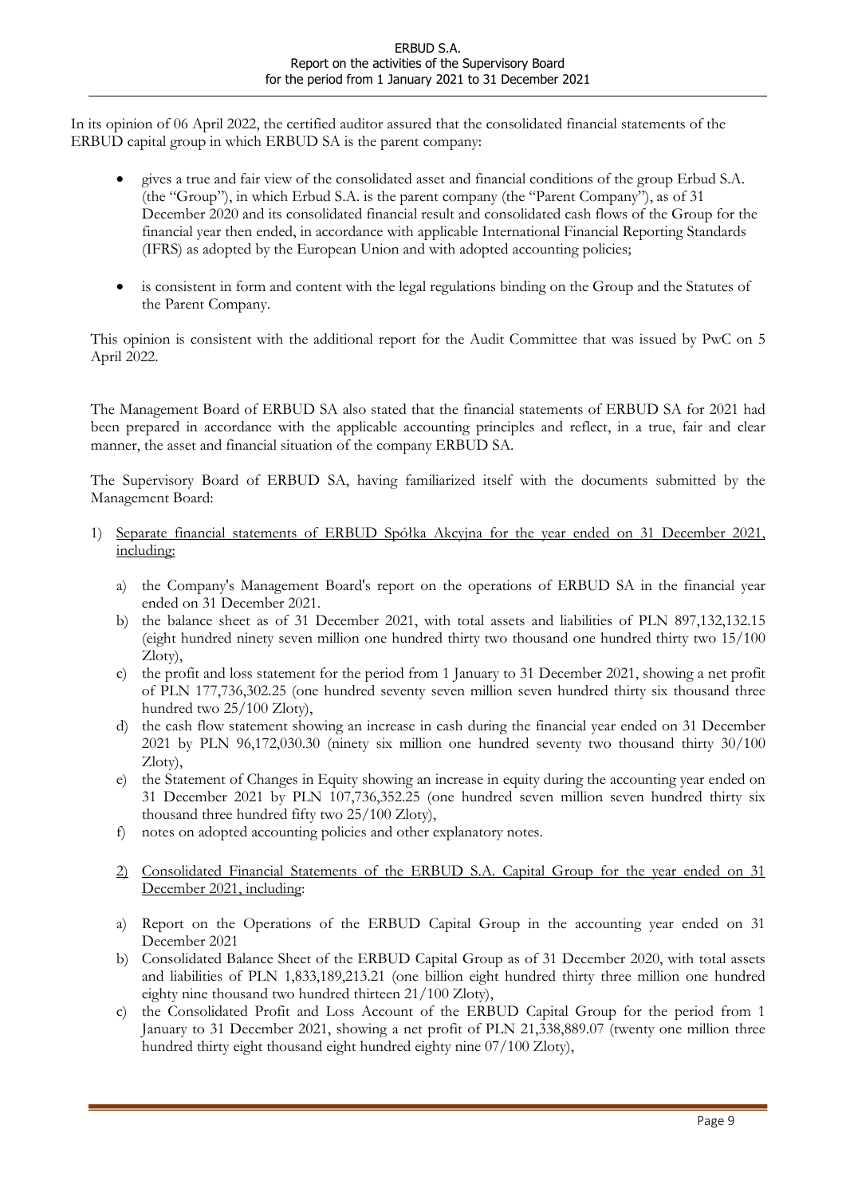In its opinion of 06 April 2022, the certified auditor assured that the consolidated financial statements of the ERBUD capital group in which ERBUD SA is the parent company:

- gives a true and fair view of the consolidated asset and financial conditions of the group Erbud S.A. (the "Group"), in which Erbud S.A. is the parent company (the "Parent Company"), as of 31 December 2020 and its consolidated financial result and consolidated cash flows of the Group for the financial year then ended, in accordance with applicable International Financial Reporting Standards (IFRS) as adopted by the European Union and with adopted accounting policies;
- is consistent in form and content with the legal regulations binding on the Group and the Statutes of the Parent Company.

This opinion is consistent with the additional report for the Audit Committee that was issued by PwC on 5 April 2022.

The Management Board of ERBUD SA also stated that the financial statements of ERBUD SA for 2021 had been prepared in accordance with the applicable accounting principles and reflect, in a true, fair and clear manner, the asset and financial situation of the company ERBUD SA.

The Supervisory Board of ERBUD SA, having familiarized itself with the documents submitted by the Management Board:

- 1) Separate financial statements of ERBUD Spółka Akcyjna for the year ended on 31 December 2021, including:
	- a) the Company's Management Board's report on the operations of ERBUD SA in the financial year ended on 31 December 2021.
	- b) the balance sheet as of 31 December 2021, with total assets and liabilities of PLN 897,132,132.15 (eight hundred ninety seven million one hundred thirty two thousand one hundred thirty two 15/100 Zloty),
	- c) the profit and loss statement for the period from 1 January to 31 December 2021, showing a net profit of PLN 177,736,302.25 (one hundred seventy seven million seven hundred thirty six thousand three hundred two 25/100 Zloty),
	- d) the cash flow statement showing an increase in cash during the financial year ended on 31 December 2021 by PLN 96,172,030.30 (ninety six million one hundred seventy two thousand thirty 30/100 Zloty),
	- e) the Statement of Changes in Equity showing an increase in equity during the accounting year ended on 31 December 2021 by PLN 107,736,352.25 (one hundred seven million seven hundred thirty six thousand three hundred fifty two 25/100 Zloty),
	- f) notes on adopted accounting policies and other explanatory notes.
	- 2) Consolidated Financial Statements of the ERBUD S.A. Capital Group for the year ended on 31 December 2021, including:
	- a) Report on the Operations of the ERBUD Capital Group in the accounting year ended on 31 December 2021
	- b) Consolidated Balance Sheet of the ERBUD Capital Group as of 31 December 2020, with total assets and liabilities of PLN 1,833,189,213.21 (one billion eight hundred thirty three million one hundred eighty nine thousand two hundred thirteen 21/100 Zloty),
	- c) the Consolidated Profit and Loss Account of the ERBUD Capital Group for the period from 1 January to 31 December 2021, showing a net profit of PLN 21,338,889.07 (twenty one million three hundred thirty eight thousand eight hundred eighty nine 07/100 Zloty),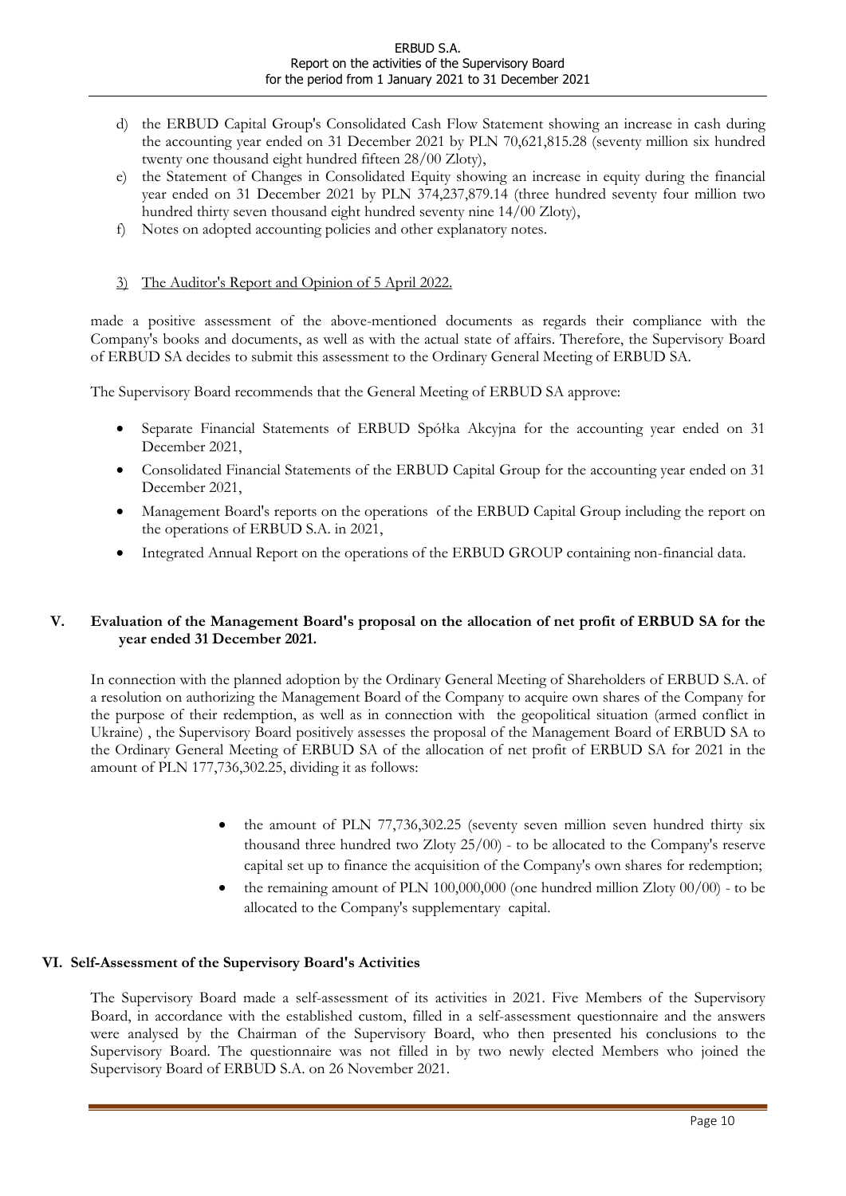- d) the ERBUD Capital Group's Consolidated Cash Flow Statement showing an increase in cash during the accounting year ended on 31 December 2021 by PLN 70,621,815.28 (seventy million six hundred twenty one thousand eight hundred fifteen 28/00 Zloty),
- e) the Statement of Changes in Consolidated Equity showing an increase in equity during the financial year ended on 31 December 2021 by PLN 374,237,879.14 (three hundred seventy four million two hundred thirty seven thousand eight hundred seventy nine 14/00 Zloty),
- f) Notes on adopted accounting policies and other explanatory notes.

### 3) The Auditor's Report and Opinion of 5 April 2022.

made a positive assessment of the above-mentioned documents as regards their compliance with the Company's books and documents, as well as with the actual state of affairs. Therefore, the Supervisory Board of ERBUD SA decides to submit this assessment to the Ordinary General Meeting of ERBUD SA.

The Supervisory Board recommends that the General Meeting of ERBUD SA approve:

- Separate Financial Statements of ERBUD Spółka Akcyjna for the accounting year ended on 31 December 2021,
- Consolidated Financial Statements of the ERBUD Capital Group for the accounting year ended on 31 December 2021,
- Management Board's reports on the operations of the ERBUD Capital Group including the report on the operations of ERBUD S.A. in 2021,
- Integrated Annual Report on the operations of the ERBUD GROUP containing non-financial data.

### V. Evaluation of the Management Board's proposal on the allocation of net profit of ERBUD SA for the year ended 31 December 2021.

In connection with the planned adoption by the Ordinary General Meeting of Shareholders of ERBUD S.A. of a resolution on authorizing the Management Board of the Company to acquire own shares of the Company for the purpose of their redemption, as well as in connection with the geopolitical situation (armed conflict in Ukraine) , the Supervisory Board positively assesses the proposal of the Management Board of ERBUD SA to the Ordinary General Meeting of ERBUD SA of the allocation of net profit of ERBUD SA for 2021 in the amount of PLN 177,736,302.25, dividing it as follows:

- the amount of PLN 77,736,302.25 (seventy seven million seven hundred thirty six thousand three hundred two Zloty 25/00) - to be allocated to the Company's reserve capital set up to finance the acquisition of the Company's own shares for redemption;
- the remaining amount of PLN 100,000,000 (one hundred million Zloty 00/00) to be allocated to the Company's supplementary capital.

### VI. Self-Assessment of the Supervisory Board's Activities

The Supervisory Board made a self-assessment of its activities in 2021. Five Members of the Supervisory Board, in accordance with the established custom, filled in a self-assessment questionnaire and the answers were analysed by the Chairman of the Supervisory Board, who then presented his conclusions to the Supervisory Board. The questionnaire was not filled in by two newly elected Members who joined the Supervisory Board of ERBUD S.A. on 26 November 2021.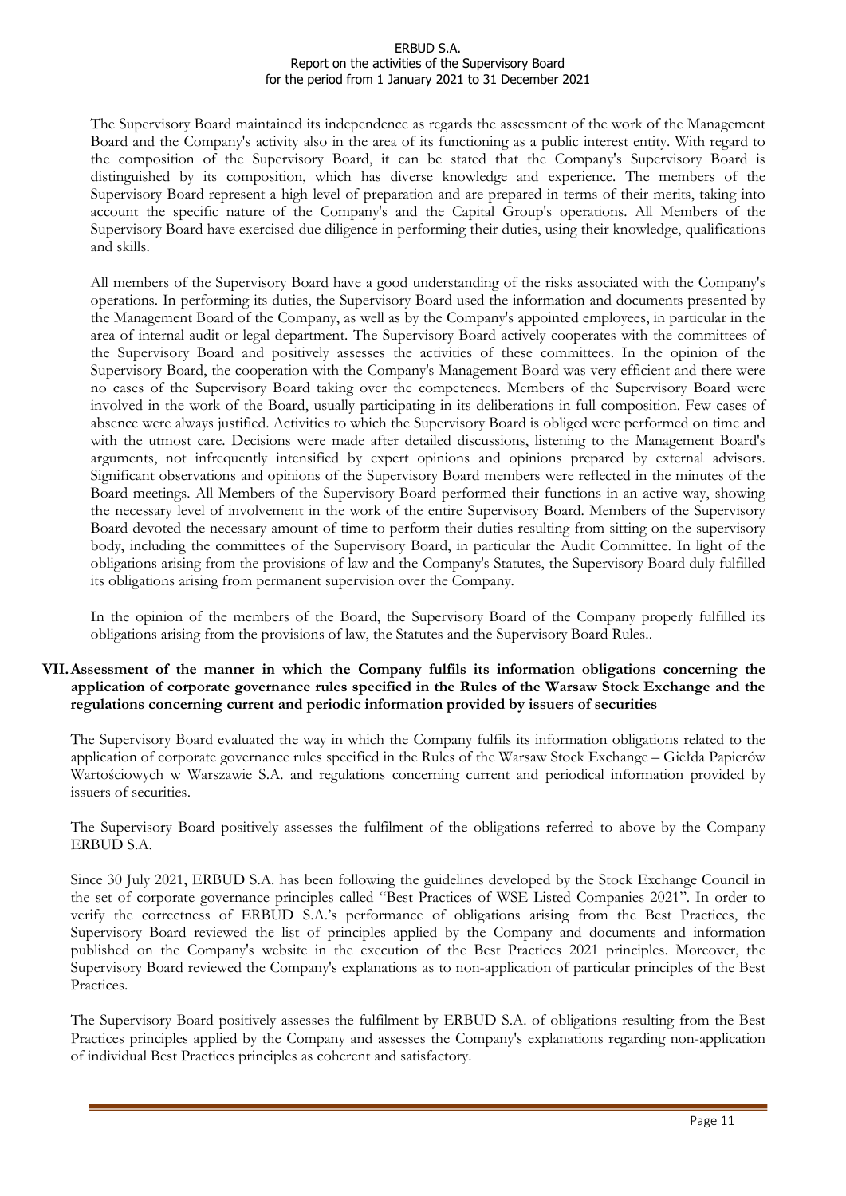The Supervisory Board maintained its independence as regards the assessment of the work of the Management Board and the Company's activity also in the area of its functioning as a public interest entity. With regard to the composition of the Supervisory Board, it can be stated that the Company's Supervisory Board is distinguished by its composition, which has diverse knowledge and experience. The members of the Supervisory Board represent a high level of preparation and are prepared in terms of their merits, taking into account the specific nature of the Company's and the Capital Group's operations. All Members of the Supervisory Board have exercised due diligence in performing their duties, using their knowledge, qualifications and skills.

All members of the Supervisory Board have a good understanding of the risks associated with the Company's operations. In performing its duties, the Supervisory Board used the information and documents presented by the Management Board of the Company, as well as by the Company's appointed employees, in particular in the area of internal audit or legal department. The Supervisory Board actively cooperates with the committees of the Supervisory Board and positively assesses the activities of these committees. In the opinion of the Supervisory Board, the cooperation with the Company's Management Board was very efficient and there were no cases of the Supervisory Board taking over the competences. Members of the Supervisory Board were involved in the work of the Board, usually participating in its deliberations in full composition. Few cases of absence were always justified. Activities to which the Supervisory Board is obliged were performed on time and with the utmost care. Decisions were made after detailed discussions, listening to the Management Board's arguments, not infrequently intensified by expert opinions and opinions prepared by external advisors. Significant observations and opinions of the Supervisory Board members were reflected in the minutes of the Board meetings. All Members of the Supervisory Board performed their functions in an active way, showing the necessary level of involvement in the work of the entire Supervisory Board. Members of the Supervisory Board devoted the necessary amount of time to perform their duties resulting from sitting on the supervisory body, including the committees of the Supervisory Board, in particular the Audit Committee. In light of the obligations arising from the provisions of law and the Company's Statutes, the Supervisory Board duly fulfilled its obligations arising from permanent supervision over the Company.

In the opinion of the members of the Board, the Supervisory Board of the Company properly fulfilled its obligations arising from the provisions of law, the Statutes and the Supervisory Board Rules..

### VII.Assessment of the manner in which the Company fulfils its information obligations concerning the application of corporate governance rules specified in the Rules of the Warsaw Stock Exchange and the regulations concerning current and periodic information provided by issuers of securities

The Supervisory Board evaluated the way in which the Company fulfils its information obligations related to the application of corporate governance rules specified in the Rules of the Warsaw Stock Exchange – Giełda Papierów Wartościowych w Warszawie S.A. and regulations concerning current and periodical information provided by issuers of securities.

The Supervisory Board positively assesses the fulfilment of the obligations referred to above by the Company ERBUD S.A.

Since 30 July 2021, ERBUD S.A. has been following the guidelines developed by the Stock Exchange Council in the set of corporate governance principles called "Best Practices of WSE Listed Companies 2021". In order to verify the correctness of ERBUD S.A.'s performance of obligations arising from the Best Practices, the Supervisory Board reviewed the list of principles applied by the Company and documents and information published on the Company's website in the execution of the Best Practices 2021 principles. Moreover, the Supervisory Board reviewed the Company's explanations as to non-application of particular principles of the Best Practices.

The Supervisory Board positively assesses the fulfilment by ERBUD S.A. of obligations resulting from the Best Practices principles applied by the Company and assesses the Company's explanations regarding non-application of individual Best Practices principles as coherent and satisfactory.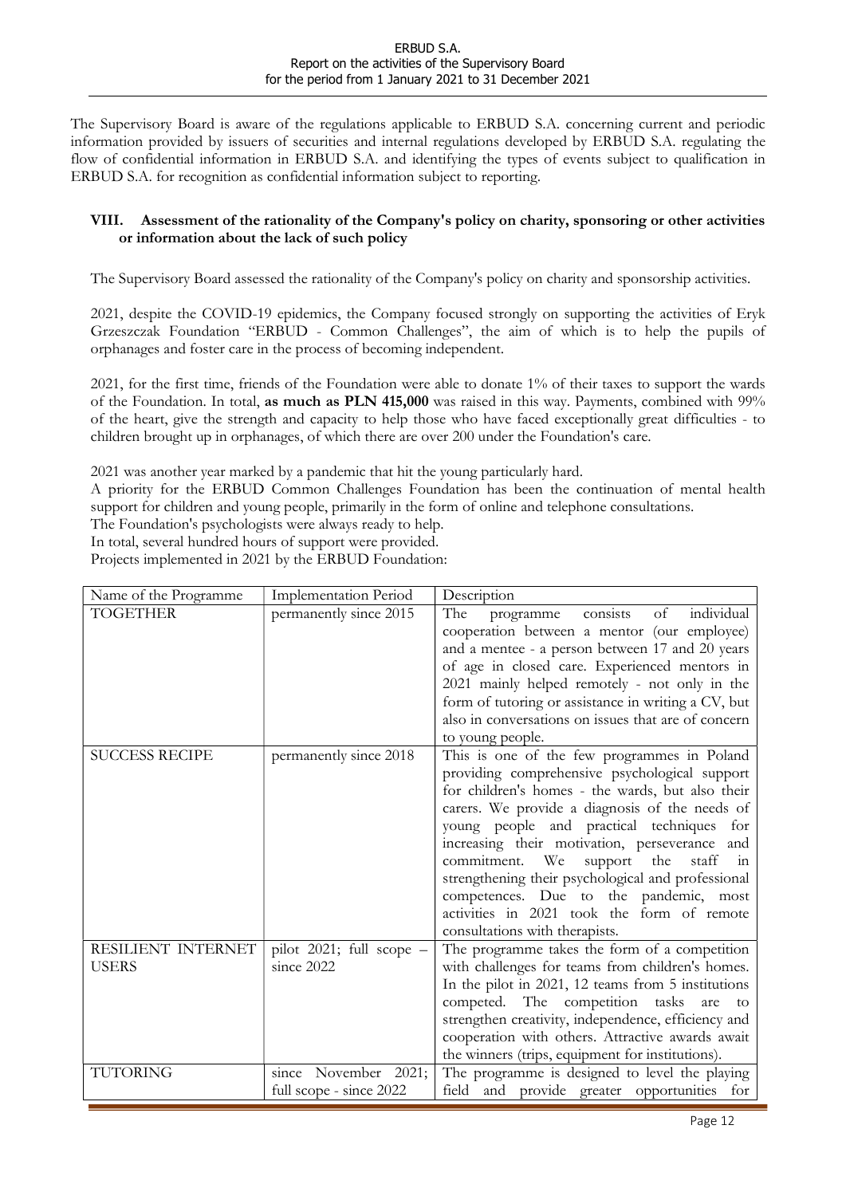The Supervisory Board is aware of the regulations applicable to ERBUD S.A. concerning current and periodic information provided by issuers of securities and internal regulations developed by ERBUD S.A. regulating the flow of confidential information in ERBUD S.A. and identifying the types of events subject to qualification in ERBUD S.A. for recognition as confidential information subject to reporting.

### VIII. Assessment of the rationality of the Company's policy on charity, sponsoring or other activities or information about the lack of such policy

The Supervisory Board assessed the rationality of the Company's policy on charity and sponsorship activities.

2021, despite the COVID-19 epidemics, the Company focused strongly on supporting the activities of Eryk Grzeszczak Foundation "ERBUD - Common Challenges", the aim of which is to help the pupils of orphanages and foster care in the process of becoming independent.

2021, for the first time, friends of the Foundation were able to donate 1% of their taxes to support the wards of the Foundation. In total, as much as PLN 415,000 was raised in this way. Payments, combined with 99% of the heart, give the strength and capacity to help those who have faced exceptionally great difficulties - to children brought up in orphanages, of which there are over 200 under the Foundation's care.

2021 was another year marked by a pandemic that hit the young particularly hard.

A priority for the ERBUD Common Challenges Foundation has been the continuation of mental health support for children and young people, primarily in the form of online and telephone consultations.

The Foundation's psychologists were always ready to help.

In total, several hundred hours of support were provided.

Projects implemented in 2021 by the ERBUD Foundation:

| Name of the Programme              | <b>Implementation Period</b>                    | Description                                                                                                                                                                                                                                                                                                                                                                                                                                                                                                                      |
|------------------------------------|-------------------------------------------------|----------------------------------------------------------------------------------------------------------------------------------------------------------------------------------------------------------------------------------------------------------------------------------------------------------------------------------------------------------------------------------------------------------------------------------------------------------------------------------------------------------------------------------|
| <b>TOGETHER</b>                    | permanently since 2015                          | individual<br>consists of<br>The<br>programme<br>cooperation between a mentor (our employee)<br>and a mentee - a person between 17 and 20 years<br>of age in closed care. Experienced mentors in<br>2021 mainly helped remotely - not only in the<br>form of tutoring or assistance in writing a CV, but<br>also in conversations on issues that are of concern<br>to young people.                                                                                                                                              |
| <b>SUCCESS RECIPE</b>              | permanently since 2018                          | This is one of the few programmes in Poland<br>providing comprehensive psychological support<br>for children's homes - the wards, but also their<br>carers. We provide a diagnosis of the needs of<br>young people and practical techniques for<br>increasing their motivation, perseverance and<br>commitment. We<br>support the<br>staff<br>in<br>strengthening their psychological and professional<br>competences. Due to the pandemic, most<br>activities in 2021 took the form of remote<br>consultations with therapists. |
| RESILIENT INTERNET<br><b>USERS</b> | pilot 2021; full scope $-$<br>since 2022        | The programme takes the form of a competition<br>with challenges for teams from children's homes.                                                                                                                                                                                                                                                                                                                                                                                                                                |
|                                    |                                                 | In the pilot in 2021, 12 teams from 5 institutions<br>competed. The competition tasks<br>are<br>to<br>strengthen creativity, independence, efficiency and<br>cooperation with others. Attractive awards await<br>the winners (trips, equipment for institutions).                                                                                                                                                                                                                                                                |
| <b>TUTORING</b>                    | since November 2021;<br>full scope - since 2022 | The programme is designed to level the playing<br>field and provide greater opportunities for                                                                                                                                                                                                                                                                                                                                                                                                                                    |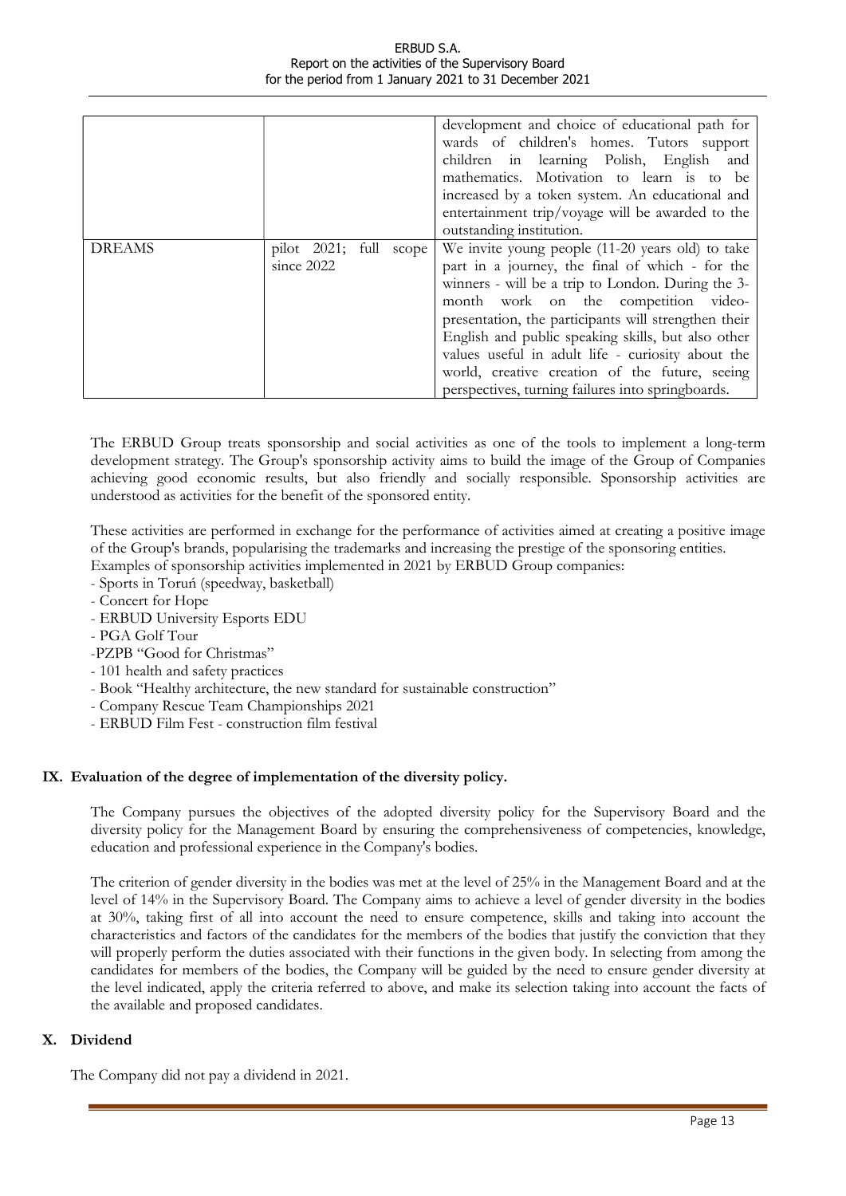|               |                                                | development and choice of educational path for<br>wards of children's homes. Tutors support<br>children in learning Polish, English<br>and<br>mathematics. Motivation to learn is to be<br>increased by a token system. An educational and<br>entertainment trip/voyage will be awarded to the<br>outstanding institution.                                                                                                                                                 |
|---------------|------------------------------------------------|----------------------------------------------------------------------------------------------------------------------------------------------------------------------------------------------------------------------------------------------------------------------------------------------------------------------------------------------------------------------------------------------------------------------------------------------------------------------------|
| <b>DREAMS</b> | pilot $2021$ ; full<br>scope  <br>since $2022$ | We invite young people (11-20 years old) to take<br>part in a journey, the final of which - for the<br>winners - will be a trip to London. During the 3-<br>month work on the competition video-<br>presentation, the participants will strengthen their<br>English and public speaking skills, but also other<br>values useful in adult life - curiosity about the<br>world, creative creation of the future, seeing<br>perspectives, turning failures into springboards. |

The ERBUD Group treats sponsorship and social activities as one of the tools to implement a long-term development strategy. The Group's sponsorship activity aims to build the image of the Group of Companies achieving good economic results, but also friendly and socially responsible. Sponsorship activities are understood as activities for the benefit of the sponsored entity.

These activities are performed in exchange for the performance of activities aimed at creating a positive image of the Group's brands, popularising the trademarks and increasing the prestige of the sponsoring entities. Examples of sponsorship activities implemented in 2021 by ERBUD Group companies:

- Sports in Toruń (speedway, basketball)
- Concert for Hope
- ERBUD University Esports EDU
- PGA Golf Tour
- -PZPB "Good for Christmas"
- 101 health and safety practices
- Book "Healthy architecture, the new standard for sustainable construction"
- Company Rescue Team Championships 2021
- ERBUD Film Fest construction film festival

# IX. Evaluation of the degree of implementation of the diversity policy.

The Company pursues the objectives of the adopted diversity policy for the Supervisory Board and the diversity policy for the Management Board by ensuring the comprehensiveness of competencies, knowledge, education and professional experience in the Company's bodies.

The criterion of gender diversity in the bodies was met at the level of 25% in the Management Board and at the level of 14% in the Supervisory Board. The Company aims to achieve a level of gender diversity in the bodies at 30%, taking first of all into account the need to ensure competence, skills and taking into account the characteristics and factors of the candidates for the members of the bodies that justify the conviction that they will properly perform the duties associated with their functions in the given body. In selecting from among the candidates for members of the bodies, the Company will be guided by the need to ensure gender diversity at the level indicated, apply the criteria referred to above, and make its selection taking into account the facts of the available and proposed candidates.

# X. Dividend

The Company did not pay a dividend in 2021.